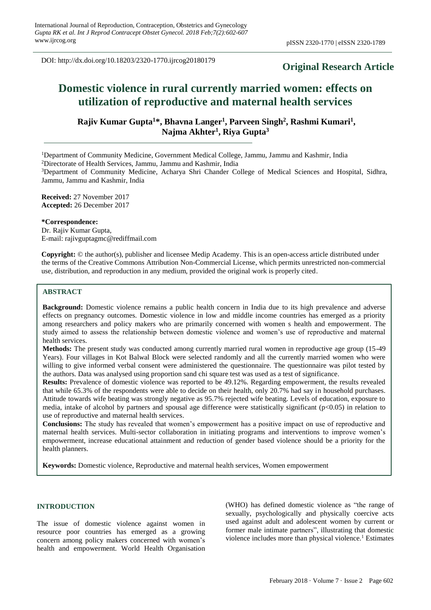DOI: http://dx.doi.org/10.18203/2320-1770.ijrcog20180179

# **Original Research Article**

# **Domestic violence in rural currently married women: effects on utilization of reproductive and maternal health services**

**Rajiv Kumar Gupta<sup>1</sup>\*, Bhavna Langer<sup>1</sup> , Parveen Singh<sup>2</sup> , Rashmi Kumari<sup>1</sup> , Najma Akhter<sup>1</sup> , Riya Gupta<sup>3</sup>**

<sup>1</sup>Department of Community Medicine, Government Medical College, Jammu, Jammu and Kashmir, India

<sup>2</sup>Directorate of Health Services, Jammu, Jammu and Kashmir, India

<sup>3</sup>Department of Community Medicine, Acharya Shri Chander College of Medical Sciences and Hospital, Sidhra, Jammu, Jammu and Kashmir, India

**Received:** 27 November 2017 **Accepted:** 26 December 2017

**\*Correspondence:**

Dr. Rajiv Kumar Gupta, E-mail: rajivguptagmc@rediffmail.com

**Copyright:** © the author(s), publisher and licensee Medip Academy. This is an open-access article distributed under the terms of the Creative Commons Attribution Non-Commercial License, which permits unrestricted non-commercial use, distribution, and reproduction in any medium, provided the original work is properly cited.

#### **ABSTRACT**

**Background:** Domestic violence remains a public health concern in India due to its high prevalence and adverse effects on pregnancy outcomes. Domestic violence in low and middle income countries has emerged as a priority among researchers and policy makers who are primarily concerned with women s health and empowerment. The study aimed to assess the relationship between domestic violence and women's use of reproductive and maternal health services.

**Methods:** The present study was conducted among currently married rural women in reproductive age group (15-49 Years). Four villages in Kot Balwal Block were selected randomly and all the currently married women who were willing to give informed verbal consent were administered the questionnaire. The questionnaire was pilot tested by the authors. Data was analysed using proportion sand chi square test was used as a test of significance.

**Results:** Prevalence of domestic violence was reported to be 49.12%. Regarding empowerment, the results revealed that while 65.3% of the respondents were able to decide on their health, only 20.7% had say in household purchases. Attitude towards wife beating was strongly negative as 95.7% rejected wife beating. Levels of education, exposure to media, intake of alcohol by partners and spousal age difference were statistically significant (p<0.05) in relation to use of reproductive and maternal health services.

**Conclusions:** The study has revealed that women's empowerment has a positive impact on use of reproductive and maternal health services. Multi-sector collaboration in initiating programs and interventions to improve women's empowerment, increase educational attainment and reduction of gender based violence should be a priority for the health planners.

**Keywords:** Domestic violence, Reproductive and maternal health services, Women empowerment

#### **INTRODUCTION**

The issue of domestic violence against women in resource poor countries has emerged as a growing concern among policy makers concerned with women's health and empowerment. World Health Organisation (WHO) has defined domestic violence as "the range of sexually, psychologically and physically coercive acts used against adult and adolescent women by current or former male intimate partners", illustrating that domestic violence includes more than physical violence.<sup>1</sup> Estimates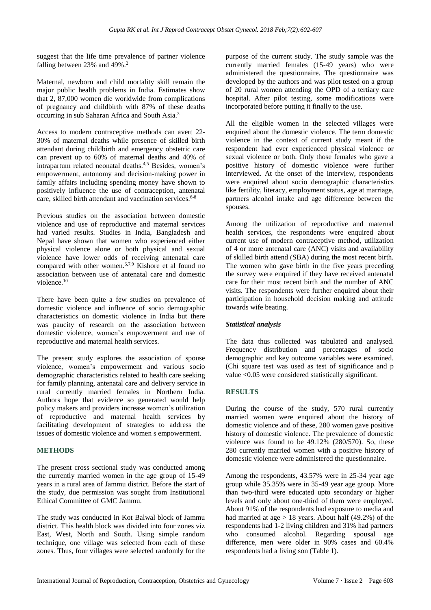suggest that the life time prevalence of partner violence falling between 23% and 49%.<sup>2</sup>

Maternal, newborn and child mortality skill remain the major public health problems in India. Estimates show that 2, 87,000 women die worldwide from complications of pregnancy and childbirth with 87% of these deaths occurring in sub Saharan Africa and South Asia.<sup>3</sup>

Access to modern contraceptive methods can avert 22-30% of maternal deaths while presence of skilled birth attendant during childbirth and emergency obstetric care can prevent up to 60% of maternal deaths and 40% of intrapartum related neonatal deaths.4,5 Besides, women's empowerment, autonomy and decision-making power in family affairs including spending money have shown to positively influence the use of contraception, antenatal care, skilled birth attendant and vaccination services.<sup>6-8</sup>

Previous studies on the association between domestic violence and use of reproductive and maternal services had varied results. Studies in India, Bangladesh and Nepal have shown that women who experienced either physical violence alone or both physical and sexual violence have lower odds of receiving antenatal care compared with other women.6,7,9 Kishore et al found no association between use of antenatal care and domestic violence.<sup>10</sup>

There have been quite a few studies on prevalence of domestic violence and influence of socio demographic characteristics on domestic violence in India but there was paucity of research on the association between domestic violence, women's empowerment and use of reproductive and maternal health services.

The present study explores the association of spouse violence, women's empowerment and various socio demographic characteristics related to health care seeking for family planning, antenatal care and delivery service in rural currently married females in Northern India. Authors hope that evidence so generated would help policy makers and providers increase women's utilization of reproductive and maternal health services by facilitating development of strategies to address the issues of domestic violence and women s empowerment.

# **METHODS**

The present cross sectional study was conducted among the currently married women in the age group of 15-49 years in a rural area of Jammu district. Before the start of the study, due permission was sought from Institutional Ethical Committee of GMC Jammu.

The study was conducted in Kot Balwal block of Jammu district. This health block was divided into four zones viz East, West, North and South. Using simple random technique, one village was selected from each of these zones. Thus, four villages were selected randomly for the purpose of the current study. The study sample was the currently married females (15-49 years) who were administered the questionnaire. The questionnaire was developed by the authors and was pilot tested on a group of 20 rural women attending the OPD of a tertiary care hospital. After pilot testing, some modifications were incorporated before putting it finally to the use.

All the eligible women in the selected villages were enquired about the domestic violence. The term domestic violence in the context of current study meant if the respondent had ever experienced physical violence or sexual violence or both. Only those females who gave a positive history of domestic violence were further interviewed. At the onset of the interview, respondents were enquired about socio demographic characteristics like fertility, literacy, employment status, age at marriage, partners alcohol intake and age difference between the spouses.

Among the utilization of reproductive and maternal health services, the respondents were enquired about current use of modern contraceptive method, utilization of 4 or more antenatal care (ANC) visits and availability of skilled birth attend (SBA) during the most recent birth. The women who gave birth in the five years preceding the survey were enquired if they have received antenatal care for their most recent birth and the number of ANC visits. The respondents were further enquired about their participation in household decision making and attitude towards wife beating.

#### *Statistical analysis*

The data thus collected was tabulated and analysed. Frequency distribution and percentages of socio demographic and key outcome variables were examined. (Chi square test was used as test of significance and p value <0.05 were considered statistically significant.

#### **RESULTS**

During the course of the study, 570 rural currently married women were enquired about the history of domestic violence and of these, 280 women gave positive history of domestic violence. The prevalence of domestic violence was found to be 49.12% (280/570). So, these 280 currently married women with a positive history of domestic violence were administered the questionnaire.

Among the respondents, 43.57% were in 25-34 year age group while 35.35% were in 35-49 year age group. More than two-third were educated upto secondary or higher levels and only about one-third of them were employed. About 91% of the respondents had exposure to media and had married at age  $> 18$  years. About half (49.2%) of the respondents had 1-2 living children and 31% had partners who consumed alcohol. Regarding spousal age difference, men were older in 90% cases and 60.4% respondents had a living son (Table 1).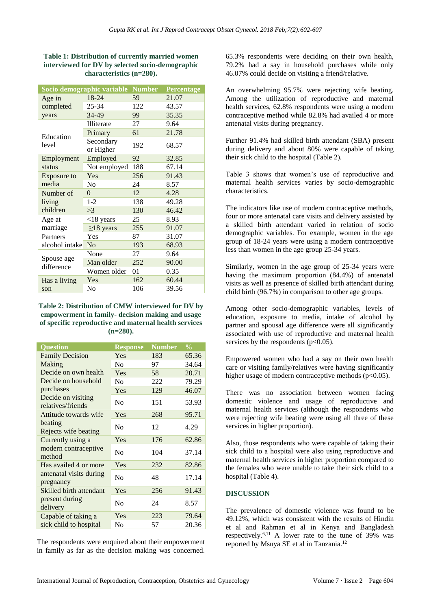**Table 1: Distribution of currently married women interviewed for DV by selected socio-demographic characteristics (n=280).**

|                          | Socio demographic variable | <b>Number</b> | Percentage |  |
|--------------------------|----------------------------|---------------|------------|--|
| Age in                   | 18-24                      | 59            | 21.07      |  |
| completed                | $25 - 34$                  | 122           | 43.57      |  |
| years                    | 34-49                      | 99            | 35.35      |  |
|                          | Illiterate                 | 27            | 9.64       |  |
| Education<br>level       | Primary                    | 61            | 21.78      |  |
|                          | Secondary<br>or Higher     | 192           | 68.57      |  |
| Employment               | Employed                   | 92            | 32.85      |  |
| status                   | Not employed               | 188           | 67.14      |  |
| Exposure to              | Yes                        | 256           | 91.43      |  |
| media                    | N <sub>o</sub>             | 24            | 8.57       |  |
| Number of<br>living      | $\overline{0}$             | 12            | 4.28       |  |
|                          | $1 - 2$                    | 138           | 49.28      |  |
| children                 | >3                         | 130           | 46.42      |  |
| Age at                   | $<$ 18 years               | 25            | 8.93       |  |
| marriage                 | $\geq$ 18 years            | 255           | 91.07      |  |
| Partners                 | Yes                        | 87            | 31.07      |  |
| alcohol intake No        |                            | 193           | 68.93      |  |
|                          | None                       | 27            | 9.64       |  |
| Spouse age<br>difference | Man older                  | 252           | 90.00      |  |
|                          | Women older                | 01            | 0.35       |  |
| Has a living             | Yes                        | 162           | 60.44      |  |
| son                      | No                         | 106           | 39.56      |  |

**Table 2: Distribution of CMW interviewed for DV by empowerment in family- decision making and usage of specific reproductive and maternal health services (n=280).**

| <b>Question</b>                         | <b>Response</b> | <b>Number</b> | $\frac{0}{0}$ |
|-----------------------------------------|-----------------|---------------|---------------|
| <b>Family Decision</b>                  | Yes             | 183           | 65.36         |
| Making                                  | No              | 97            | 34.64         |
| Decide on own health                    | Yes             | 58            | 20.71         |
| Decide on household                     | N <sub>0</sub>  | 222           | 79.29         |
| purchases                               | Yes             | 129           | 46.07         |
| Decide on visiting<br>relatives/friends | No              | 151           | 53.93         |
| Attitude towards wife                   | Yes             | 268           | 95.71         |
| beating<br>Rejects wife beating         | N <sub>0</sub>  | 12            | 4.29          |
| Currently using a                       | Yes             | 176           | 62.86         |
| modern contraceptive<br>method          | No              | 104           | 37.14         |
| Has availed 4 or more                   | Yes             | 232           | 82.86         |
| antenatal visits during<br>pregnancy    | N <sub>0</sub>  | 48            | 17.14         |
| Skilled birth attendant                 | Yes             | 256           | 91.43         |
| present during<br>delivery              | N <sub>0</sub>  | 24            | 8.57          |
| Capable of taking a                     | Yes             | 223           | 79.64         |
| sick child to hospital                  | No              | 57            | 20.36         |

The respondents were enquired about their empowerment in family as far as the decision making was concerned. 65.3% respondents were deciding on their own health, 79.2% had a say in household purchases while only 46.07% could decide on visiting a friend/relative.

An overwhelming 95.7% were rejecting wife beating. Among the utilization of reproductive and maternal health services, 62.8% respondents were using a modern contraceptive method while 82.8% had availed 4 or more antenatal visits during pregnancy.

Further 91.4% had skilled birth attendant (SBA) present during delivery and about 80% were capable of taking their sick child to the hospital (Table 2).

Table 3 shows that women's use of reproductive and maternal health services varies by socio-demographic characteristics.

The indicators like use of modern contraceptive methods, four or more antenatal care visits and delivery assisted by a skilled birth attendant varied in relation of socio demographic variables. For example, women in the age group of 18-24 years were using a modern contraceptive less than women in the age group 25-34 years.

Similarly, women in the age group of 25-34 years were having the maximum proportion (84.4%) of antenatal visits as well as presence of skilled birth attendant during child birth (96.7%) in comparison to other age groups.

Among other socio-demographic variables, levels of education, exposure to media, intake of alcohol by partner and spousal age difference were all significantly associated with use of reproductive and maternal health services by the respondents  $(p<0.05)$ .

Empowered women who had a say on their own health care or visiting family/relatives were having significantly higher usage of modern contraceptive methods  $(p<0.05)$ .

There was no association between women facing domestic violence and usage of reproductive and maternal health services (although the respondents who were rejecting wife beating were using all three of these services in higher proportion).

Also, those respondents who were capable of taking their sick child to a hospital were also using reproductive and maternal health services in higher proportion compared to the females who were unable to take their sick child to a hospital (Table 4).

#### **DISCUSSION**

The prevalence of domestic violence was found to be 49.12%, which was consistent with the results of Hindin et al and Rahman et al in Kenya and Bangladesh respectively.<sup>6,11</sup> A lower rate to the tune of  $39\%$  was reported by Msuya SE et al in Tanzania.<sup>12</sup>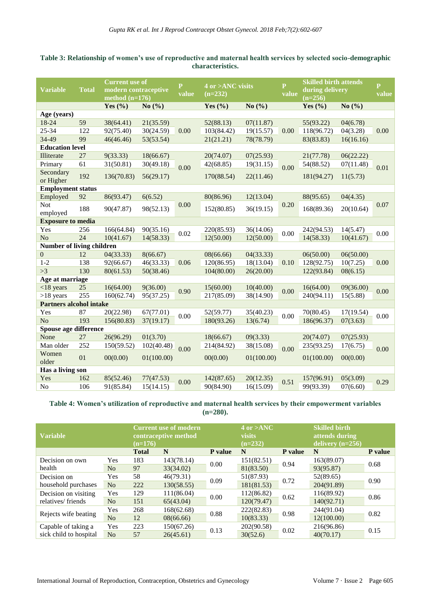# **Table 3: Relationship of women's use of reproductive and maternal health services by selected socio-demographic characteristics.**

| <b>Variable</b>                  | <b>Total</b> | <b>Current use of</b><br>modern contraceptive<br>method $(n=176)$ |                               | $\mathbf{P}$<br>value | 4 or >ANC visits<br>$(n=232)$ |            | $\mathbf{p}$<br>value | <b>Skilled birth attends</b><br>during delivery<br>$(n=256)$ |                               | $\overline{P}$<br>value |
|----------------------------------|--------------|-------------------------------------------------------------------|-------------------------------|-----------------------|-------------------------------|------------|-----------------------|--------------------------------------------------------------|-------------------------------|-------------------------|
|                                  |              | Yes $(\% )$                                                       | No $\left(\frac{9}{6}\right)$ |                       | Yes $(\% )$                   | No $(\% )$ |                       | Yes $(\% )$                                                  | No $\left(\frac{9}{6}\right)$ |                         |
| Age (years)                      |              |                                                                   |                               |                       |                               |            |                       |                                                              |                               |                         |
| 18-24                            | 59           | 38(64.41)                                                         | 21(35.59)                     | 0.00                  | 52(88.13)                     | 07(11.87)  | 0.00                  | 55(93.22)                                                    | 04(6.78)                      | 0.00                    |
| 25-34                            | 122          | 92(75.40)                                                         | 30(24.59)                     |                       | 103(84.42)                    | 19(15.57)  |                       | 118(96.72)                                                   | 04(3.28)                      |                         |
| 34-49                            | 99           | 46(46.46)                                                         | 53(53.54)                     |                       | 21(21.21)                     | 78(78.79)  |                       | 83(83.83)                                                    | 16(16.16)                     |                         |
| <b>Education level</b>           |              |                                                                   |                               |                       |                               |            |                       |                                                              |                               |                         |
| Illiterate                       | 27           | 9(33.33)                                                          | 18(66.67)                     | 0.00                  | 20(74.07)                     | 07(25.93)  | 0.00                  | 21(77.78)                                                    | 06(22.22)                     |                         |
| Primary                          | 61           | 31(50.81)                                                         | 30(49.18)                     |                       | 42(68.85)                     | 19(31.15)  |                       | 54(88.52)                                                    | 07(11.48)                     |                         |
| Secondary<br>or Higher           | 192          | 136(70.83)                                                        | 56(29.17)                     |                       | 170(88.54)                    | 22(11.46)  |                       | 181(94.27)                                                   | 11(5.73)                      | 0.01                    |
| <b>Employment status</b>         |              |                                                                   |                               |                       |                               |            |                       |                                                              |                               |                         |
| Employed                         | 92           | 86(93.47)                                                         | 6(6.52)                       |                       | 80(86.96)                     | 12(13.04)  |                       | 88(95.65)                                                    | 04(4.35)                      |                         |
| <b>Not</b>                       |              |                                                                   |                               | 0.00                  |                               |            | 0.20                  |                                                              |                               | 0.07                    |
| employed                         | 188          | 90(47.87)                                                         | 98(52.13)                     |                       | 152(80.85)                    | 36(19.15)  |                       | 168(89.36)                                                   | 20(10.64)                     |                         |
| <b>Exposure to media</b>         |              |                                                                   |                               |                       |                               |            |                       |                                                              |                               |                         |
| Yes                              | 256          | 166(64.84)                                                        | 90(35.16)                     | 0.02                  | 220(85.93)                    | 36(14.06)  | 0.00                  | 242(94.53)                                                   | 14(5.47)                      | 0.00                    |
| N <sub>o</sub>                   | 24           | 10(41.67)                                                         | 14(58.33)                     |                       | 12(50.00)                     | 12(50.00)  |                       | 14(58.33)                                                    | 10(41.67)                     |                         |
| <b>Number of living children</b> |              |                                                                   |                               |                       |                               |            |                       |                                                              |                               |                         |
| $\boldsymbol{0}$                 | 12           | 04(33.33)                                                         | 8(66.67)                      |                       | 08(66.66)                     | 04(33.33)  | 0.10                  | 06(50.00)                                                    | 06(50.00)                     | 0.00                    |
| $1 - 2$                          | 138          | 92(66.67)                                                         | 46(33.33)                     | 0.06                  | 120(86.95)                    | 18(13.04)  |                       | 128(92.75)                                                   | 10(7.25)                      |                         |
| >3                               | 130          | 80(61.53)                                                         | 50(38.46)                     |                       | 104(80.00)                    | 26(20.00)  |                       | 122(93.84)                                                   | 08(6.15)                      |                         |
| Age at marriage                  |              |                                                                   |                               |                       |                               |            |                       |                                                              |                               |                         |
| $<$ 18 years                     | 25           | 16(64.00)                                                         | 9(36.00)                      |                       | 15(60.00)                     | 10(40.00)  | 0.00                  | 16(64.00)                                                    | 09(36.00)                     | 0.00                    |
| $>18$ years                      | 255          | 160(62.74)                                                        | 95(37.25)                     | 0.90                  | 217(85.09)                    | 38(14.90)  |                       | 240(94.11)                                                   | 15(5.88)                      |                         |
| <b>Partners alcohol intake</b>   |              |                                                                   |                               |                       |                               |            |                       |                                                              |                               |                         |
| Yes                              | 87           | 20(22.98)                                                         | 67(77.01)                     |                       | 52(59.77)                     | 35(40.23)  | 0.00                  | 70(80.45)                                                    | 17(19.54)                     | 0.00                    |
| N <sub>o</sub>                   | 193          | 156(80.83)                                                        | 37(19.17)                     | 0.00                  | 180(93.26)                    | 13(6.74)   |                       | 186(96.37)                                                   | 07(3.63)                      |                         |
| Spouse age difference            |              |                                                                   |                               |                       |                               |            |                       |                                                              |                               |                         |
| None                             | 27           | 26(96.29)                                                         | 01(3.70)                      |                       | 18(66.67)                     | 09(3.33)   |                       | 20(74.07)                                                    | 07(25.93)                     |                         |
| Man older                        | 252          | 150(59.52)                                                        | 102(40.48)                    | 0.00                  | 214(84.92)                    | 38(15.08)  | 0.00                  | 235(93.25)                                                   | 17(6.75)                      | 0.00                    |
| Women<br>older                   | 01           | 00(0.00)                                                          | 01(100.00)                    |                       | 00(0.00)                      | 01(100.00) |                       | 01(100.00)                                                   | 00(0.00)                      |                         |
| Has a living son                 |              |                                                                   |                               |                       |                               |            |                       |                                                              |                               |                         |
| Yes                              | 162          | 85(52.46)                                                         | 77(47.53)                     |                       | 142(87.65)                    | 20(12.35)  |                       | 157(96.91)                                                   | 05(3.09)                      | 0.29                    |
| $\rm No$                         | 106          | 91(85.84)                                                         | 15(14.15)                     | 0.00                  | 90(84.90)                     | 16(15.09)  | 0.51                  | 99(93.39)                                                    | 07(6.60)                      |                         |

## **Table 4: Women's utilization of reproductive and maternal health services by their empowerment variables (n=280).**

| <b>Variable</b>                               | <b>Current use of modern</b><br>contraceptive method<br>$(n=176)$ |              |            | $4$ or $>AP$<br><b>visits</b><br>$(n=232)$ |            | <b>Skilled birth</b><br>attends during<br>delivery $(n=256)$ |            |         |
|-----------------------------------------------|-------------------------------------------------------------------|--------------|------------|--------------------------------------------|------------|--------------------------------------------------------------|------------|---------|
|                                               |                                                                   | <b>Total</b> | N          | P value                                    | N          | P value                                                      | N          | P value |
| Decision on own                               | Yes                                                               | 183          | 143(78.14) |                                            | 151(82.51) |                                                              | 163(89.07) | 0.68    |
| health                                        | N <sub>o</sub>                                                    | 97           | 33(34.02)  | 0.00                                       | 81(83.50)  | 0.94                                                         | 93(95.87)  |         |
| Decision on                                   | Yes                                                               | 58           | 46(79.31)  |                                            | 51(87.93)  |                                                              | 52(89.65)  | 0.90    |
| household purchases                           | N <sub>o</sub>                                                    | 222          | 130(58.55) | 0.09                                       | 181(81.53) | 0.72                                                         | 204(91.89) |         |
| Decision on visiting<br>relatives/friends     | Yes                                                               | 129          | 111(86.04) | 0.00                                       | 112(86.82) | 0.62                                                         | 116(89.92) | 0.86    |
|                                               | N <sub>o</sub>                                                    | 151          | 65(43.04)  |                                            | 120(79.47) |                                                              | 140(92.71) |         |
| Rejects wife beating                          | Yes                                                               | 268          | 168(62.68) | 0.88                                       | 222(82.83) | 0.98                                                         | 244(91.04) | 0.82    |
|                                               | N <sub>o</sub>                                                    | 12           | 08(66.66)  |                                            | 10(83.33)  |                                                              | 12(100.00) |         |
| Capable of taking a<br>sick child to hospital | Yes                                                               | 223          | 150(67.26) | 0.13                                       | 202(90.58) | 0.02                                                         | 216(96.86) | 0.15    |
|                                               | N <sub>o</sub>                                                    | 57           | 26(45.61)  |                                            | 30(52.6)   |                                                              | 40(70.17)  |         |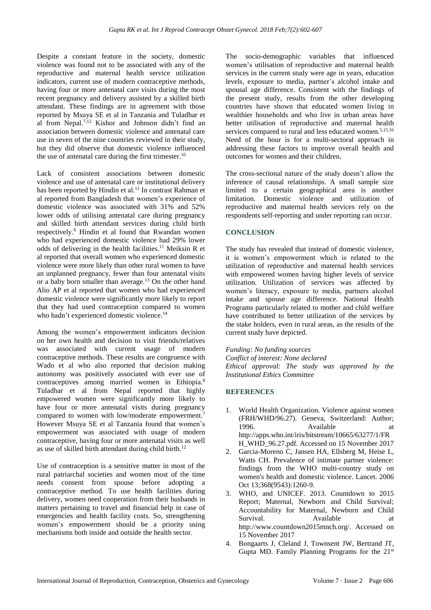Despite a constant feature in the society, domestic violence was found not to be associated with any of the reproductive and maternal health service utilization indicators, current use of modern contraceptive methods, having four or more antenatal care visits during the most recent pregnancy and delivery assisted by a skilled birth attendant. These findings are in agreement with those reported by Msuya SE et al in Tanzania and Tuladhar et al from Nepal.7,12 Kishor and Johnson didn't find an association between domestic violence and antenatal care use in seven of the nine countries reviewed in their study, but they did observe that domestic violence influenced the use of antenatal care during the first trimester.<sup>10</sup>

Lack of consistent associations between domestic violence and use of antenatal care or institutional delivery has been reported by Hindin et al.<sup>11</sup> In contrast Rahman et al reported from Bangladesh that women's experience of domestic violence was associated with 31% and 52% lower odds of utilising antenatal care during pregnancy and skilled birth attendant services during child birth respectively.<sup>6</sup> Hindin et al found that Rwandan women who had experienced domestic violence had 29% lower odds of delivering in the health facilities.<sup>11</sup> Meiksin R et al reported that overall women who experienced domestic violence were more likely than other rural women to have an unplanned pregnancy, fewer than four antenatal visits or a baby born smaller than average.<sup>13</sup> On the other hand Alio AP et al reported that women who had experienced domestic violence were significantly more likely to report that they had used contraception compared to women who hadn't experienced domestic violence.<sup>14</sup>

Among the women's empowerment indicators decision on her own health and decision to visit friends/relatives was associated with current usage of modern contraceptive methods. These results are congruence with Wado et al who also reported that decision making autonomy was positively associated with ever use of contraceptives among married women in Ethiopia.<sup>8</sup> Tuladhar et al from Nepal reported that highly empowered women were significantly more likely to have four or more antenatal visits during pregnancy compared to women with low/moderate empowerment.<sup>7</sup> However Msuya SE et al Tanzania found that women's empowerment was associated with usage of modern contraceptive, having four or more antenatal visits as well as use of skilled birth attendant during child birth.<sup>12</sup>

Use of contraception is a sensitive matter in most of the rural patriarchal societies and women most of the time needs consent from spouse before adopting a contraceptive method. To use health facilities during delivery, women need cooperation from their husbands in matters pertaining to travel and financial help in case of emergencies and health facility costs. So, strengthening women's empowerment should be a priority using mechanisms both inside and outside the health sector.

The socio-demographic variables that influenced women's utilisation of reproductive and maternal health services in the current study were age in years, education levels, exposure to media, partner's alcohol intake and spousal age difference. Consistent with the findings of the present study, results from the other developing countries have shown that educated women living in wealthier households and who live in urban areas have better utilisation of reproductive and maternal health services compared to rural and less educated women.<sup>5,15,16</sup> Need of the hour is for a multi-sectoral approach in addressing these factors to improve overall health and outcomes for women and their children.

The cross-sectional nature of the study doesn't allow the inference of causal relationships. A small sample size limited to a certain geographical area is another limitation. Domestic violence and utilization of reproductive and maternal health services rely on the respondents self-reporting and under reporting can occur.

## **CONCLUSION**

The study has revealed that instead of domestic violence, it is women's empowerment which is related to the utilization of reproductive and maternal health services with empowered women having higher levels of service utilization. Utilization of services was affected by women's literacy, exposure to media, partners alcohol intake and spouse age difference. National Health Programs particularly related to mother and child welfare have contributed to better utilization of the services by the stake holders, even in rural areas, as the results of the current study have depicted.

*Funding: No funding sources Conflict of interest: None declared Ethical approval: The study was approved by the Institutional Ethics Committee*

#### **REFERENCES**

- 1. World Health Organization. Violence against women (FRH/WHD/96.27). Geneva, Switzerland: Author; 1996. Available at http://apps.who.int/iris/bitstream/10665/63277/1/FR H\_WHD\_96.27.pdf. Accessed on 15 November 2017
- 2. Garcia-Moreno C, Jansen HA, Ellsberg M, Heise L, Watts CH. Prevalence of intimate partner violence: findings from the WHO multi-country study on women's health and domestic violence. Lancet. 2006 Oct 13;368(9543):1260-9.
- 3. WHO, and UNICEF. 2013. Countdown to 2015 Report; Maternal, Newborn and Child Survival; Accountability for Maternal, Newborn and Child Survival. Available at http://www.countdown2015mnch.org/. Accessed on 15 November 2017
- 4. Bongaarts J, Cleland J, Townsent JW, Bertrand JT, Gupta MD. Family Planning Programs for the 21st